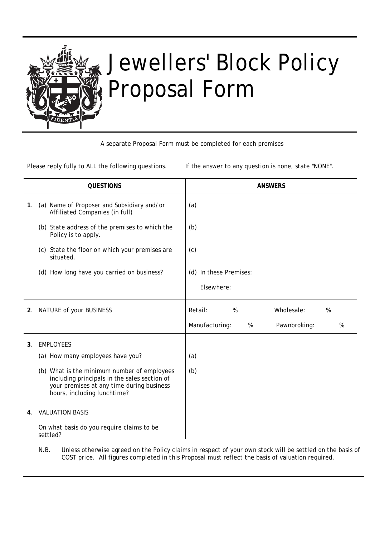

# Jewellers' Block Policy Proposal Form

A separate Proposal Form must be completed for each premises

Please reply fully to ALL the following questions. If the answer to any question is none, state "NONE".

|    | <b>QUESTIONS</b>                                                                                                                                                        | <b>ANSWERS</b>                           |  |  |  |
|----|-------------------------------------------------------------------------------------------------------------------------------------------------------------------------|------------------------------------------|--|--|--|
| 1. | (a) Name of Proposer and Subsidiary and/or<br>Affiliated Companies (in full)                                                                                            | (a)                                      |  |  |  |
|    | (b) State address of the premises to which the<br>Policy is to apply.                                                                                                   | (b)                                      |  |  |  |
|    | (c) State the floor on which your premises are<br>situated.                                                                                                             | (c)                                      |  |  |  |
|    | (d) How long have you carried on business?                                                                                                                              | (d) In these Premises:                   |  |  |  |
|    |                                                                                                                                                                         | Elsewhere:                               |  |  |  |
| 2. | NATURE of your BUSINESS                                                                                                                                                 | %<br>Wholesale:<br>Retail:<br>%          |  |  |  |
|    |                                                                                                                                                                         | Manufacturing:<br>%<br>Pawnbroking:<br>% |  |  |  |
| 3. | <b>EMPLOYEES</b>                                                                                                                                                        |                                          |  |  |  |
|    | (a) How many employees have you?                                                                                                                                        | (a)                                      |  |  |  |
|    | (b) What is the minimum number of employees<br>including principals in the sales section of<br>your premises at any time during business<br>hours, including lunchtime? | (b)                                      |  |  |  |
| 4. | <b>VALUATION BASIS</b>                                                                                                                                                  |                                          |  |  |  |
|    | On what basis do you require claims to be<br>settled?                                                                                                                   |                                          |  |  |  |

N.B. Unless otherwise agreed on the Policy claims in respect of your own stock will be settled on the basis of COST price. All figures completed in this Proposal must reflect the basis of valuation required.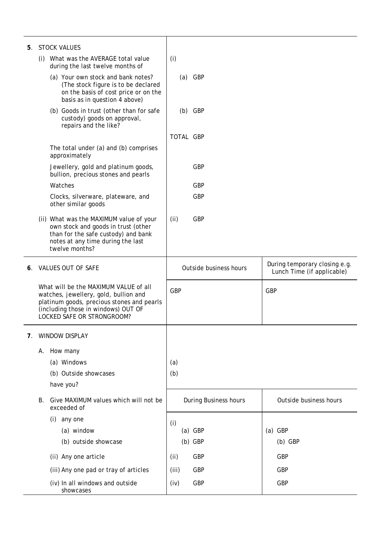|    | 5. STOCK VALUES                                                                                                                                                                                          |                        |                                                             |
|----|----------------------------------------------------------------------------------------------------------------------------------------------------------------------------------------------------------|------------------------|-------------------------------------------------------------|
|    | (i) What was the AVERAGE total value<br>during the last twelve months of                                                                                                                                 | (i)                    |                                                             |
|    | (a) Your own stock and bank notes?<br>(The stock figure is to be declared<br>on the basis of cost price or on the<br>basis as in question 4 above)                                                       | $(a)$ GBP              |                                                             |
|    | (b) Goods in trust (other than for safe<br>custody) goods on approval,<br>repairs and the like?                                                                                                          | $(b)$ GBP              |                                                             |
|    |                                                                                                                                                                                                          | TOTAL GBP              |                                                             |
|    | The total under (a) and (b) comprises<br>approximately                                                                                                                                                   |                        |                                                             |
|    | Jewellery, gold and platinum goods,<br>bullion, precious stones and pearls                                                                                                                               | <b>GBP</b>             |                                                             |
|    | Watches                                                                                                                                                                                                  | GBP                    |                                                             |
|    | Clocks, silverware, plateware, and<br>other similar goods                                                                                                                                                | <b>GBP</b>             |                                                             |
|    | (ii) What was the MAXIMUM value of your<br>own stock and goods in trust (other<br>than for the safe custody) and bank<br>notes at any time during the last<br>twelve months?                             | <b>GBP</b><br>(ii)     |                                                             |
| 6. | VALUES OUT OF SAFE                                                                                                                                                                                       | Outside business hours | During temporary closing e.g.<br>Lunch Time (if applicable) |
|    | What will be the MAXIMUM VALUE of all<br>watches, jewellery, gold, bullion and<br>platinum goods, precious stones and pearls<br>(including those in windows) OUT OF<br><b>LOCKED SAFE OR STRONGROOM?</b> | <b>GBP</b>             | <b>GBP</b>                                                  |
| 7. | <b>WINDOW DISPLAY</b>                                                                                                                                                                                    |                        |                                                             |
|    | A. How many                                                                                                                                                                                              |                        |                                                             |
|    | (a) Windows                                                                                                                                                                                              | (a)                    |                                                             |
|    | (b) Outside showcases                                                                                                                                                                                    | (b)                    |                                                             |
|    | have you?                                                                                                                                                                                                |                        |                                                             |
|    | Give MAXIMUM values which will not be<br>В.<br>exceeded of                                                                                                                                               | During Business hours  | Outside business hours                                      |
|    | any one<br>(i)                                                                                                                                                                                           | (i)                    |                                                             |
|    | (a) window                                                                                                                                                                                               | $(a)$ GBP              | $(a)$ GBP                                                   |
|    | (b) outside showcase                                                                                                                                                                                     | $(b)$ GBP              | $(b)$ GBP                                                   |
|    | (ii) Any one article                                                                                                                                                                                     | <b>GBP</b><br>(ii)     | <b>GBP</b>                                                  |
|    | (iii) Any one pad or tray of articles                                                                                                                                                                    | <b>GBP</b><br>(iii)    | GBP                                                         |
|    | (iv) In all windows and outside<br>showcases                                                                                                                                                             | GBP<br>(iv)            | <b>GBP</b>                                                  |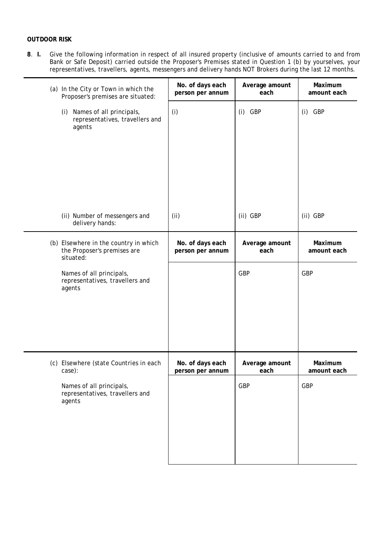## **OUTDOOR RISK**

**8**. **I.** Give the following information in respect of all insured property (inclusive of amounts carried to and from Bank or Safe Deposit) carried outside the Proposer's Premises stated in Question 1 (b) by yourselves, your representatives, travellers, agents, messengers and delivery hands NOT Brokers during the last 12 months.

| (a) In the City or Town in which the<br>Proposer's premises are situated:         | No. of days each<br>person per annum | Average amount<br>each | Maximum<br>amount each |
|-----------------------------------------------------------------------------------|--------------------------------------|------------------------|------------------------|
| Names of all principals,<br>(i)<br>representatives, travellers and<br>agents      | (i)                                  | $(i)$ GBP              | $(i)$ GBP              |
| (ii) Number of messengers and<br>delivery hands:                                  | (i)                                  | (ii) GBP               | (ii) GBP               |
| (b) Elsewhere in the country in which<br>the Proposer's premises are<br>situated: | No. of days each<br>person per annum | Average amount<br>each | Maximum<br>amount each |
| Names of all principals,<br>representatives, travellers and<br>agents             |                                      | GBP                    | <b>GBP</b>             |
| (c) Elsewhere (state Countries in each<br>case):                                  | No. of days each<br>person per annum | Average amount<br>each | Maximum<br>amount each |
| Names of all principals,<br>representatives, travellers and<br>agents             |                                      | GBP                    | GBP                    |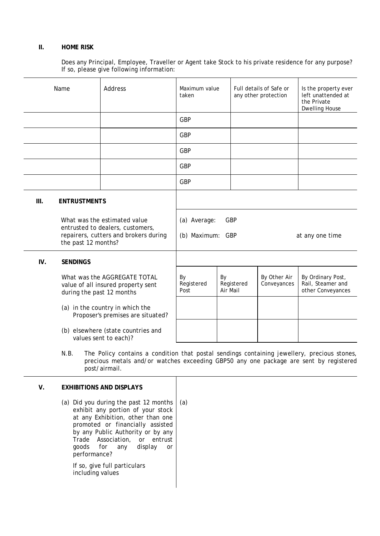### **II. HOME RISK**

Does any Principal, Employee, Traveller or Agent take Stock to his private residence for any purpose? If so, please give following information:

|     | Name                                                        | Address                                                                                                                                                                                               | Maximum value<br>taken           |                |            | Full details of Safe or<br>any other protection | Is the property ever<br>left unattended at<br>the Private<br><b>Dwelling House</b> |
|-----|-------------------------------------------------------------|-------------------------------------------------------------------------------------------------------------------------------------------------------------------------------------------------------|----------------------------------|----------------|------------|-------------------------------------------------|------------------------------------------------------------------------------------|
|     |                                                             |                                                                                                                                                                                                       | <b>GBP</b>                       |                |            |                                                 |                                                                                    |
|     |                                                             |                                                                                                                                                                                                       | <b>GBP</b>                       |                |            |                                                 |                                                                                    |
|     |                                                             |                                                                                                                                                                                                       | <b>GBP</b>                       |                |            |                                                 |                                                                                    |
|     |                                                             |                                                                                                                                                                                                       | <b>GBP</b>                       |                |            |                                                 |                                                                                    |
|     |                                                             |                                                                                                                                                                                                       | <b>GBP</b>                       |                |            |                                                 |                                                                                    |
| Ш.  | <b>ENTRUSTMENTS</b>                                         |                                                                                                                                                                                                       |                                  |                |            |                                                 |                                                                                    |
|     | the past 12 months?                                         | What was the estimated value<br>entrusted to dealers, customers,<br>repairers, cutters and brokers during                                                                                             | (a) Average:<br>(b) Maximum: GBP | <b>GBP</b>     |            |                                                 | at any one time                                                                    |
| IV. | <b>SENDINGS</b>                                             |                                                                                                                                                                                                       |                                  |                |            |                                                 |                                                                                    |
|     | during the past 12 months                                   | What was the AGGREGATE TOTAL<br>value of all insured property sent                                                                                                                                    | By<br>Registered<br>Post         | By<br>Air Mail | Registered | By Other Air<br>Conveyances                     | By Ordinary Post,<br>Rail, Steamer and<br>other Conveyances                        |
|     |                                                             | (a) in the country in which the<br>Proposer's premises are situated?                                                                                                                                  |                                  |                |            |                                                 |                                                                                    |
|     | (b) elsewhere (state countries and<br>values sent to each)? |                                                                                                                                                                                                       |                                  |                |            |                                                 |                                                                                    |
|     | N.B.                                                        | The Policy contains a condition that postal sendings containing jewellery, precious stones,<br>precious metals and/or watches exceeding GBP50 any one package are sent by registered<br>post/airmail. |                                  |                |            |                                                 |                                                                                    |
| V.  |                                                             | <b>EXHIBITIONS AND DISPLAYS</b>                                                                                                                                                                       |                                  |                |            |                                                 |                                                                                    |
|     |                                                             | (a) Did you during the past 12 months<br>oxhibit any portion of your stock                                                                                                                            | (a)                              |                |            |                                                 |                                                                                    |

exhibit any portion of your stock at any Exhibition, other than one promoted or financially assisted by any Public Authority or by any Trade Association, or entrust goods for any display or performance?

If so, give full particulars including values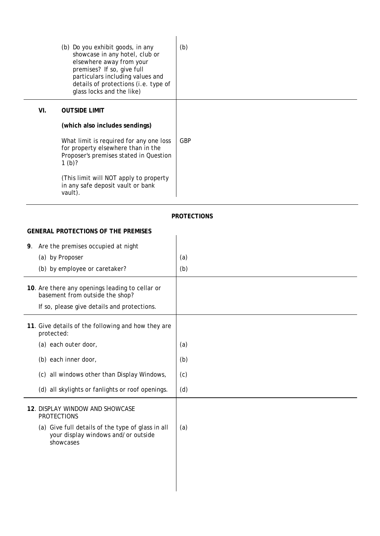|     | (b) Do you exhibit goods, in any<br>showcase in any hotel, club or<br>elsewhere away from your<br>premises? If so, give full<br>particulars including values and<br>details of protections (i.e. type of<br>glass locks and the like) | (b)        |
|-----|---------------------------------------------------------------------------------------------------------------------------------------------------------------------------------------------------------------------------------------|------------|
| VI. | <b>OUTSIDE LIMIT</b><br>(which also includes sendings)<br>What limit is required for any one loss<br>for property elsewhere than in the<br>Proposer's premises stated in Question<br>1 $(b)$ ?                                        | <b>GBP</b> |
|     | (This limit will NOT apply to property<br>in any safe deposit vault or bank<br>vault).                                                                                                                                                |            |

## **PROTECTIONS**

### **GENERAL PROTECTIONS OF THE PREMISES**

| Are the premises occupied at night<br>9.                                                              |     |
|-------------------------------------------------------------------------------------------------------|-----|
| (a) by Proposer                                                                                       | (a) |
| (b) by employee or caretaker?                                                                         | (b) |
| 10. Are there any openings leading to cellar or<br>basement from outside the shop?                    |     |
| If so, please give details and protections.                                                           |     |
| 11. Give details of the following and how they are<br>protected:                                      |     |
| (a) each outer door,                                                                                  | (a) |
| (b) each inner door,                                                                                  | (b) |
| (c) all windows other than Display Windows,                                                           | (c) |
| (d) all skylights or fanlights or roof openings.                                                      | (d) |
| 12. DISPLAY WINDOW AND SHOWCASE<br><b>PROTECTIONS</b>                                                 |     |
| (a) Give full details of the type of glass in all<br>your display windows and/or outside<br>showcases | (a) |
|                                                                                                       |     |
|                                                                                                       |     |
|                                                                                                       |     |
|                                                                                                       |     |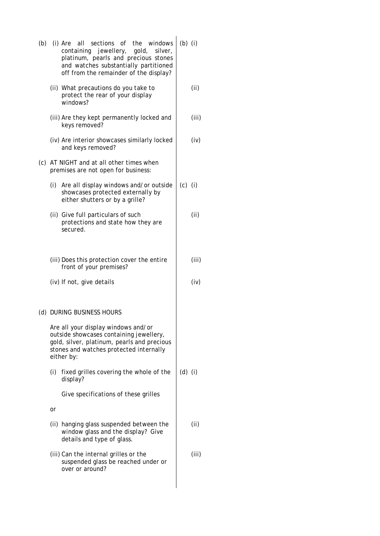| (b) (i) Are all sections of the windows<br>containing jewellery, gold, silver,<br>platinum, pearls and precious stones<br>and watches substantially partitioned<br>off from the remainder of the display? | $(b)$ (i) |       |
|-----------------------------------------------------------------------------------------------------------------------------------------------------------------------------------------------------------|-----------|-------|
| (ii) What precautions do you take to<br>protect the rear of your display<br>windows?                                                                                                                      |           | (ii)  |
| (iii) Are they kept permanently locked and<br>keys removed?                                                                                                                                               |           | (iii) |
| (iv) Are interior showcases similarly locked<br>and keys removed?                                                                                                                                         |           | (iv)  |
| (c) AT NIGHT and at all other times when<br>premises are not open for business:                                                                                                                           |           |       |
| (i)<br>Are all display windows and/or outside<br>showcases protected externally by<br>either shutters or by a grille?                                                                                     | $(c)$ (i) |       |
| (ii) Give full particulars of such<br>protections and state how they are<br>secured.                                                                                                                      |           | (ii)  |
| (iii) Does this protection cover the entire<br>front of your premises?                                                                                                                                    |           | (iii) |
| (iv) If not, give details                                                                                                                                                                                 |           | (iv)  |
| (d) DURING BUSINESS HOURS                                                                                                                                                                                 |           |       |
| Are all your display windows and/or<br>outside showcases containing jewellery,<br>gold, silver, platinum, pearls and precious<br>stones and watches protected internally<br>either by:                    |           |       |
| (i)<br>fixed grilles covering the whole of the<br>display?                                                                                                                                                | $(d)$ (i) |       |
| Give specifications of these grilles                                                                                                                                                                      |           |       |
| or                                                                                                                                                                                                        |           |       |
| (ii) hanging glass suspended between the<br>window glass and the display? Give<br>details and type of glass.                                                                                              |           | (ii)  |
| (iii) Can the internal grilles or the<br>suspended glass be reached under or<br>over or around?                                                                                                           |           | (iii) |
|                                                                                                                                                                                                           |           |       |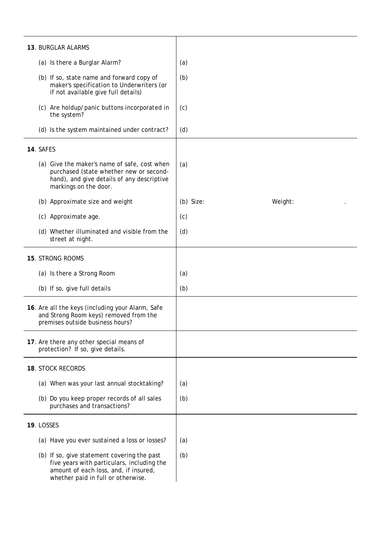| 13. BURGLAR ALARMS                                                                                                                                                       |           |         |
|--------------------------------------------------------------------------------------------------------------------------------------------------------------------------|-----------|---------|
| (a) Is there a Burglar Alarm?                                                                                                                                            | (a)       |         |
| (b) If so, state name and forward copy of<br>maker's specification to Underwriters (or<br>if not available give full details)                                            | (b)       |         |
| (c) Are holdup/panic buttons incorporated in<br>the system?                                                                                                              | (c)       |         |
| (d) Is the system maintained under contract?                                                                                                                             | (d)       |         |
| 14. SAFES                                                                                                                                                                |           |         |
| (a) Give the maker's name of safe, cost when<br>purchased (state whether new or second-<br>hand), and give details of any descriptive<br>markings on the door.           | (a)       |         |
| (b) Approximate size and weight                                                                                                                                          | (b) Size: | Weight: |
| (c) Approximate age.                                                                                                                                                     | (c)       |         |
| (d) Whether illuminated and visible from the<br>street at night.                                                                                                         | (d)       |         |
| 15. STRONG ROOMS                                                                                                                                                         |           |         |
| (a) Is there a Strong Room                                                                                                                                               | (a)       |         |
| (b) If so, give full details                                                                                                                                             | (b)       |         |
| 16. Are all the keys (including your Alarm, Safe<br>and Strong Room keys) removed from the<br>premises outside business hours?                                           |           |         |
| 17. Are there any other special means of<br>protection? If so, give details.                                                                                             |           |         |
| 18. STOCK RECORDS                                                                                                                                                        |           |         |
| (a) When was your last annual stocktaking?                                                                                                                               | (a)       |         |
| (b) Do you keep proper records of all sales<br>purchases and transactions?                                                                                               | (b)       |         |
| 19. LOSSES                                                                                                                                                               |           |         |
| (a) Have you ever sustained a loss or losses?                                                                                                                            | (a)       |         |
| (b) If so, give statement covering the past<br>five years with particulars, including the<br>amount of each loss, and, if insured,<br>whether paid in full or otherwise. | (b)       |         |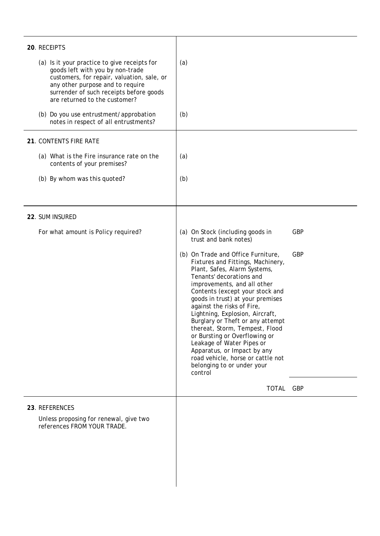| 20. RECEIPTS                                                                                                                                                                                                                                   |                                                                                                                                                                                                                                                                                                                                                                                                                                                                                                                                                             |            |
|------------------------------------------------------------------------------------------------------------------------------------------------------------------------------------------------------------------------------------------------|-------------------------------------------------------------------------------------------------------------------------------------------------------------------------------------------------------------------------------------------------------------------------------------------------------------------------------------------------------------------------------------------------------------------------------------------------------------------------------------------------------------------------------------------------------------|------------|
| (a) Is it your practice to give receipts for<br>goods left with you by non-trade<br>customers, for repair, valuation, sale, or<br>any other purpose and to require<br>surrender of such receipts before goods<br>are returned to the customer? | (a)                                                                                                                                                                                                                                                                                                                                                                                                                                                                                                                                                         |            |
| (b) Do you use entrustment/approbation<br>notes in respect of all entrustments?                                                                                                                                                                | (b)                                                                                                                                                                                                                                                                                                                                                                                                                                                                                                                                                         |            |
| 21. CONTENTS FIRE RATE                                                                                                                                                                                                                         |                                                                                                                                                                                                                                                                                                                                                                                                                                                                                                                                                             |            |
| (a) What is the Fire insurance rate on the<br>contents of your premises?                                                                                                                                                                       | (a)                                                                                                                                                                                                                                                                                                                                                                                                                                                                                                                                                         |            |
| (b) By whom was this quoted?                                                                                                                                                                                                                   | (b)                                                                                                                                                                                                                                                                                                                                                                                                                                                                                                                                                         |            |
| 22. SUM INSURED                                                                                                                                                                                                                                |                                                                                                                                                                                                                                                                                                                                                                                                                                                                                                                                                             |            |
| For what amount is Policy required?                                                                                                                                                                                                            | (a) On Stock (including goods in<br>trust and bank notes)                                                                                                                                                                                                                                                                                                                                                                                                                                                                                                   | <b>GBP</b> |
|                                                                                                                                                                                                                                                | (b) On Trade and Office Furniture,<br>Fixtures and Fittings, Machinery,<br>Plant, Safes, Alarm Systems,<br>Tenants' decorations and<br>improvements, and all other<br>Contents (except your stock and<br>goods in trust) at your premises<br>against the risks of Fire,<br>Lightning, Explosion, Aircraft,<br>Burglary or Theft or any attempt<br>thereat, Storm, Tempest, Flood<br>or Bursting or Overflowing or<br>Leakage of Water Pipes or<br>Apparatus, or Impact by any<br>road vehicle, horse or cattle not<br>belonging to or under your<br>control | <b>GBP</b> |
|                                                                                                                                                                                                                                                | TOTAL GBP                                                                                                                                                                                                                                                                                                                                                                                                                                                                                                                                                   |            |
| 23. REFERENCES<br>Unless proposing for renewal, give two<br>references FROM YOUR TRADE.                                                                                                                                                        |                                                                                                                                                                                                                                                                                                                                                                                                                                                                                                                                                             |            |

 $\overline{\phantom{a}}$